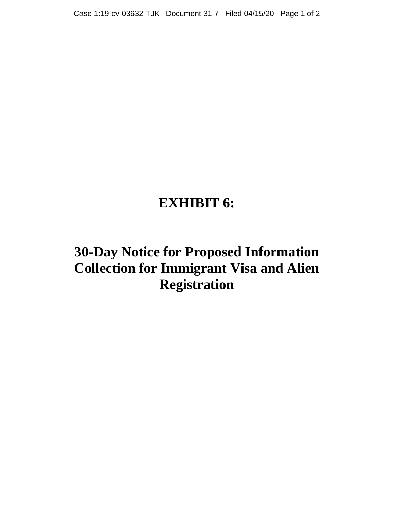# **EXHIBIT 6:**

# **30-Day Notice for Proposed Information Collection for Immigrant Visa and Alien Registration**